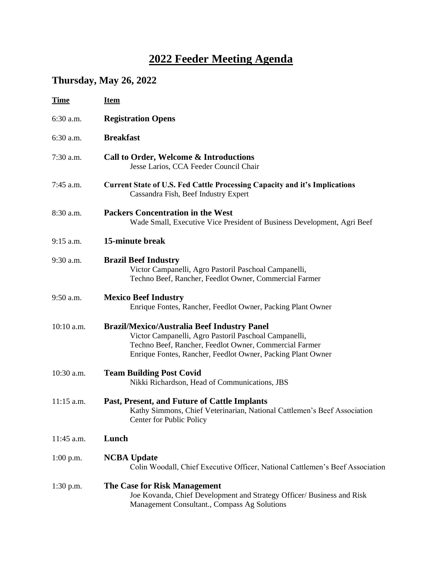## **2022 Feeder Meeting Agenda**

## **Thursday, May 26, 2022**

| <b>Time</b>  | <b>Item</b>                                                                                                                                                                                                                          |
|--------------|--------------------------------------------------------------------------------------------------------------------------------------------------------------------------------------------------------------------------------------|
| 6:30 a.m.    | <b>Registration Opens</b>                                                                                                                                                                                                            |
| 6:30 a.m.    | <b>Breakfast</b>                                                                                                                                                                                                                     |
| 7:30 a.m.    | Call to Order, Welcome & Introductions<br>Jesse Larios, CCA Feeder Council Chair                                                                                                                                                     |
| 7:45 a.m.    | <b>Current State of U.S. Fed Cattle Processing Capacity and it's Implications</b><br>Cassandra Fish, Beef Industry Expert                                                                                                            |
| 8:30 a.m.    | <b>Packers Concentration in the West</b><br>Wade Small, Executive Vice President of Business Development, Agri Beef                                                                                                                  |
| $9:15$ a.m.  | 15-minute break                                                                                                                                                                                                                      |
| 9:30 a.m.    | <b>Brazil Beef Industry</b><br>Victor Campanelli, Agro Pastoril Paschoal Campanelli,<br>Techno Beef, Rancher, Feedlot Owner, Commercial Farmer                                                                                       |
| 9:50 a.m.    | <b>Mexico Beef Industry</b><br>Enrique Fontes, Rancher, Feedlot Owner, Packing Plant Owner                                                                                                                                           |
| 10:10 a.m.   | <b>Brazil/Mexico/Australia Beef Industry Panel</b><br>Victor Campanelli, Agro Pastoril Paschoal Campanelli,<br>Techno Beef, Rancher, Feedlot Owner, Commercial Farmer<br>Enrique Fontes, Rancher, Feedlot Owner, Packing Plant Owner |
| 10:30 a.m.   | <b>Team Building Post Covid</b><br>Nikki Richardson, Head of Communications, JBS                                                                                                                                                     |
| $11:15$ a.m. | Past, Present, and Future of Cattle Implants<br>Kathy Simmons, Chief Veterinarian, National Cattlemen's Beef Association<br>Center for Public Policy                                                                                 |
| 11:45 a.m.   | Lunch                                                                                                                                                                                                                                |
| $1:00$ p.m.  | <b>NCBA Update</b><br>Colin Woodall, Chief Executive Officer, National Cattlemen's Beef Association                                                                                                                                  |
| $1:30$ p.m.  | The Case for Risk Management<br>Joe Kovanda, Chief Development and Strategy Officer/ Business and Risk<br>Management Consultant., Compass Ag Solutions                                                                               |